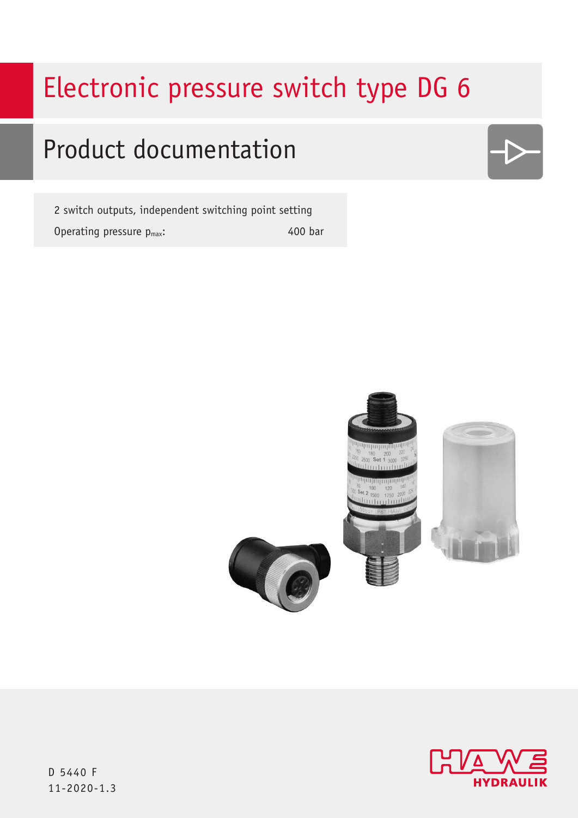# Electronic pressure switch type DG 6

## Product documentation

2 switch outputs, independent switching point setting Operating pressure  $p_{max}$ : 400 bar







D 5440 F 11-2020-1.3 11-2020-1.3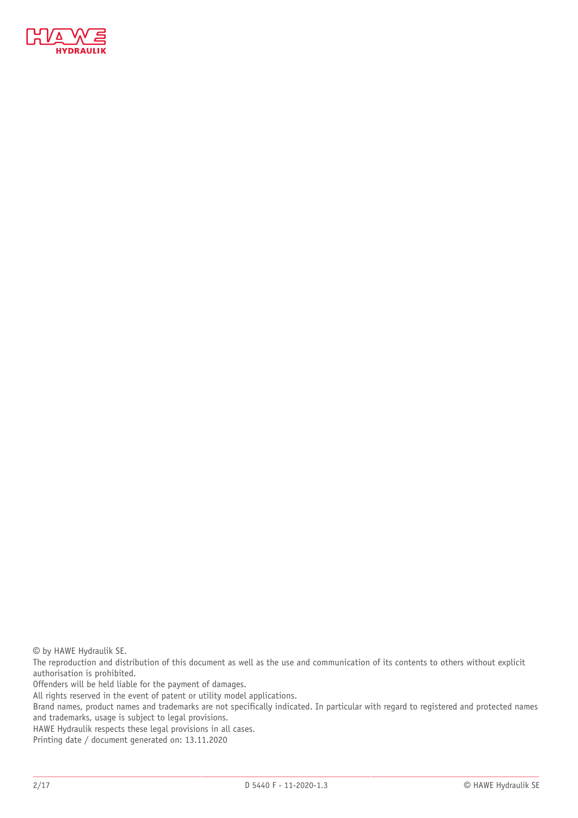

© by HAWE Hydraulik SE.

The reproduction and distribution of this document as well as the use and communication of its contents to others without explicit authorisation is prohibited.

Offenders will be held liable for the payment of damages.

All rights reserved in the event of patent or utility model applications.

Brand names, product names and trademarks are not specifically indicated. In particular with regard to registered and protected names and trademarks, usage is subject to legal provisions.

HAWE Hydraulik respects these legal provisions in all cases.

Printing date / document generated on: 13.11.2020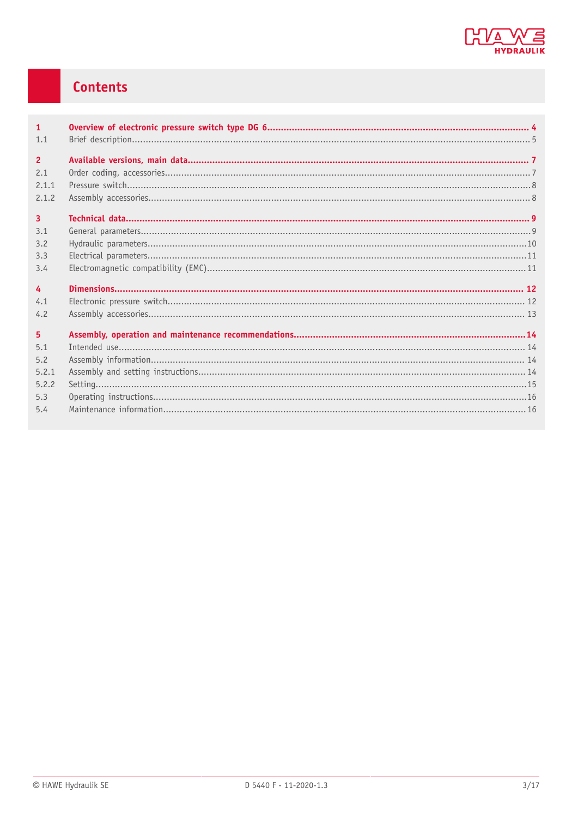

### Contents

| $\mathbf{1}$   |  |
|----------------|--|
| 1.1            |  |
| $\overline{2}$ |  |
| 2.1            |  |
| 2.1.1          |  |
| 2.1.2          |  |
| $\overline{3}$ |  |
| 3.1            |  |
| 3.2            |  |
| 3.3            |  |
| 3.4            |  |
| $\overline{4}$ |  |
| 4.1            |  |
| 4.2            |  |
| 5 <sup>5</sup> |  |
| 5.1            |  |
| 5.2            |  |
| 5.2.1          |  |
| 5.2.2          |  |
| 5.3            |  |
| 5.4            |  |
|                |  |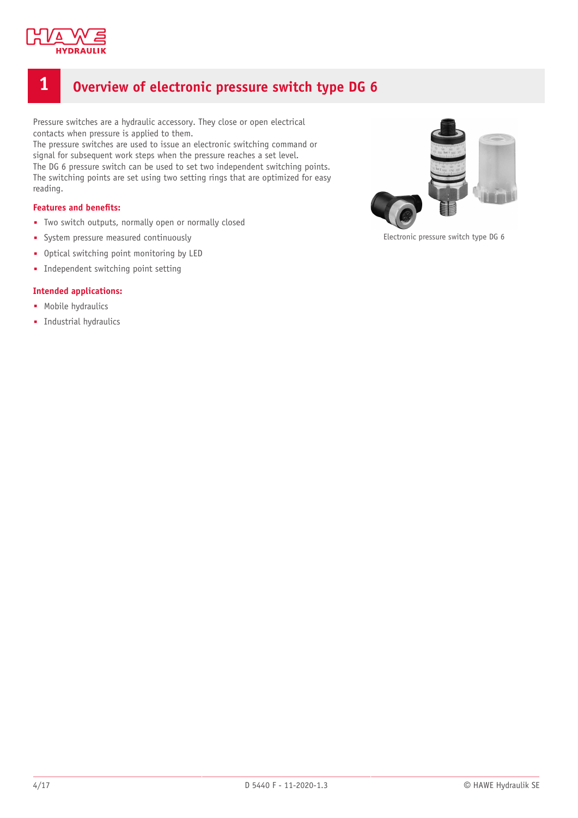

### <span id="page-3-0"></span>**1 Overview of electronic pressure switch type DG 6**

Pressure switches are a hydraulic accessory. They close or open electrical contacts when pressure is applied to them.

The pressure switches are used to issue an electronic switching command or signal for subsequent work steps when the pressure reaches a set level. The DG 6 pressure switch can be used to set two independent switching points. The switching points are set using two setting rings that are optimized for easy reading.

### **Features** and **benefits:**

- Two switch outputs, normally open or normally closed
- System pressure measured continuously
- Optical switching point monitoring by LED
- Independent switching point setting

#### **Intended applications:**

- Mobile hydraulics
- Industrial hydraulics



Electronic pressure switch type DG 6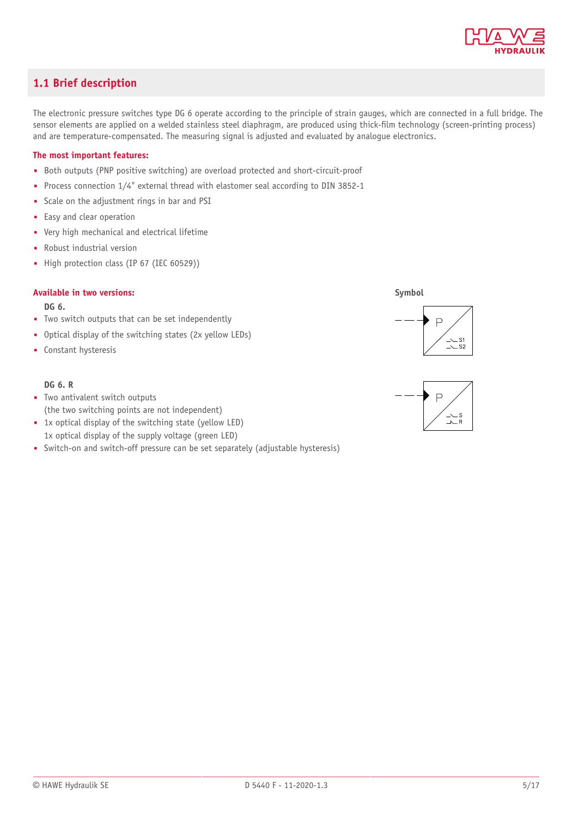

### <span id="page-4-0"></span>**1.1 Brief description**

The electronic pressure switches type DG 6 operate according to the principle of strain gauges, which are connected in a full bridge. The sensor elements are applied on a welded stainless steel diaphragm, are produced using thick-film technology (screen-printing process) and are temperature-compensated. The measuring signal is adjusted and evaluated by analogue electronics.

### **The most important features:**

- Both outputs (PNP positive switching) are overload protected and short-circuit-proof
- Process connection 1/4" external thread with elastomer seal according to DIN 3852-1
- Scale on the adjustment rings in bar and PSI
- Easy and clear operation
- Very high mechanical and electrical lifetime
- Robust industrial version
- High protection class (IP 67 (IEC 60529))

#### **Available in two versions:**

#### **DG 6.**

- Two switch outputs that can be set independently
- Optical display of the switching states (2x yellow LEDs)
- Constant hysteresis

#### **DG 6. R**

- Two antivalent switch outputs (the two switching points are not independent)
- 1x optical display of the switching state (yellow LED)
- 1x optical display of the supply voltage (green LED)
- Switch-on and switch-off pressure can be set separately (adjustable hysteresis)





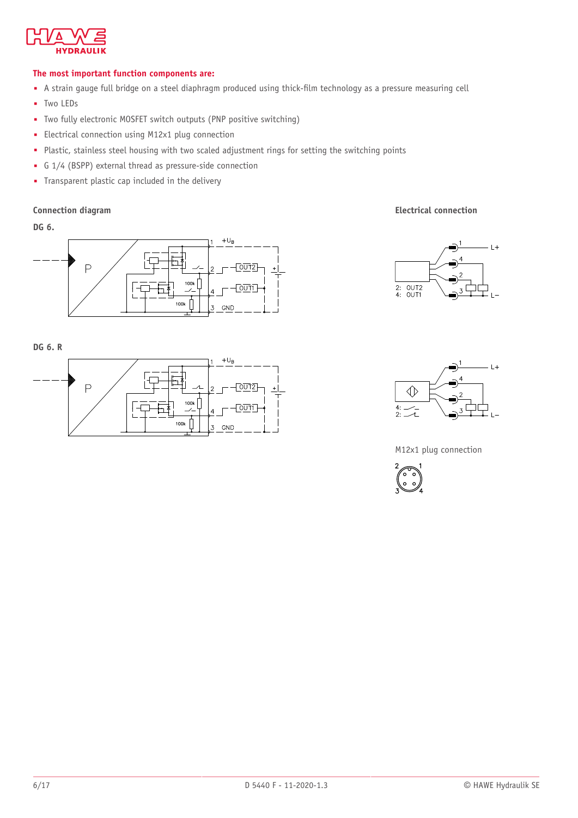

### **The most important function components are:**

- A strain gauge full bridge on a steel diaphragm produced using thick-film technology as a pressure measuring cell
- Two LEDs
- Two fully electronic MOSFET switch outputs (PNP positive switching)
- Electrical connection using M12x1 plug connection
- Plastic, stainless steel housing with two scaled adjustment rings for setting the switching points
- G 1/4 (BSPP) external thread as pressure-side connection
- Transparent plastic cap included in the delivery

**DG 6.**



**DG 6. R**





 $-L+$ 



 $\overline{2}$ 

 $\overline{3}$ 

M12x1 plug connection



2: OUT2<br>4: OUT1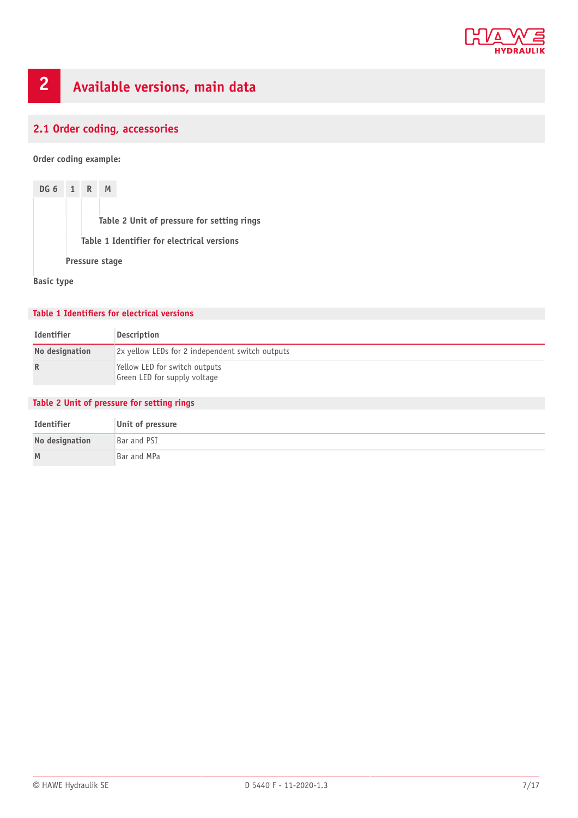

## <span id="page-6-0"></span>**2 Available versions, main data**

### <span id="page-6-1"></span>**2.1 Order coding, accessories**

**Order coding example:**

**DG 6 1 R M Table 2 Unit of pressure for setting rings Table 1 Identifier for electrical versions Pressure stage**

**Basic type**

#### **Table 1 Identifiers for electrical versions**

| Identifier     | Description                                                   |
|----------------|---------------------------------------------------------------|
| No designation | 2x yellow LEDs for 2 independent switch outputs               |
| R              | Yellow LED for switch outputs<br>Green LED for supply voltage |

### **Table 2 Unit of pressure for setting rings**

| Identifier     | Unit of pressure |
|----------------|------------------|
| No designation | Bar and PSI      |
| M              | Bar and MPa      |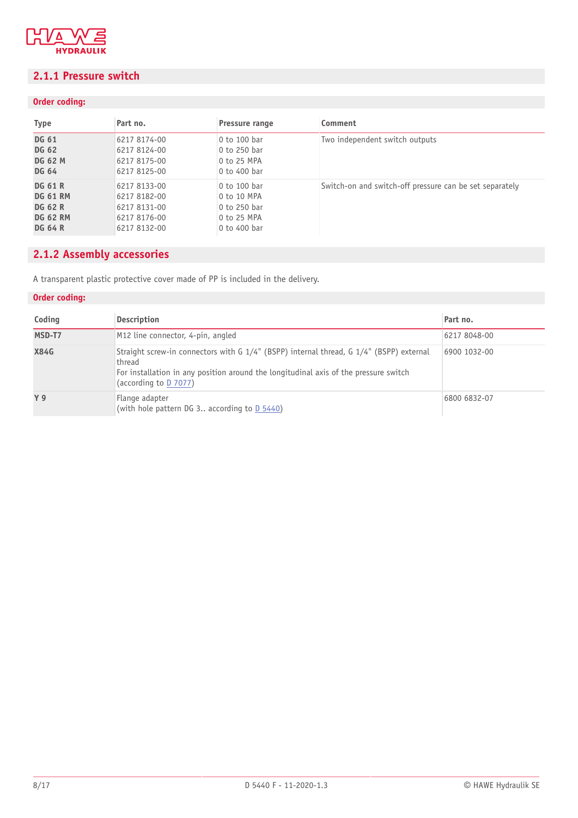

### <span id="page-7-0"></span>**2.1.1 Pressure switch**

### **Order coding:**

| <b>Type</b>     | Part no.     | Pressure range | Comment                                                 |
|-----------------|--------------|----------------|---------------------------------------------------------|
| <b>DG 61</b>    | 6217 8174-00 | 0 to 100 bar   | Two independent switch outputs                          |
| <b>DG 62</b>    | 6217 8124-00 | 0 to 250 har   |                                                         |
| <b>DG 62 M</b>  | 6217 8175-00 | 0 to 25 MPA    |                                                         |
| <b>DG 64</b>    | 6217 8125-00 | 0 to 400 bar   |                                                         |
| <b>DG 61 R</b>  | 6217 8133-00 | 0 to 100 bar   | Switch-on and switch-off pressure can be set separately |
| <b>DG 61 RM</b> | 6217 8182-00 | 0 to 10 MPA    |                                                         |
| <b>DG 62 R</b>  | 6217 8131-00 | 0 to 250 bar   |                                                         |
| <b>DG 62 RM</b> | 6217 8176-00 | 0 to 25 MPA    |                                                         |
| <b>DG 64 R</b>  | 6217 8132-00 | 0 to 400 bar   |                                                         |

### <span id="page-7-1"></span>**2.1.2 Assembly accessories**

A transparent plastic protective cover made of PP is included in the delivery.

### **Order coding:**

| Coding      | <b>Description</b>                                                                                                                                                                                                 | Part no.     |
|-------------|--------------------------------------------------------------------------------------------------------------------------------------------------------------------------------------------------------------------|--------------|
| MSD-T7      | M <sub>12</sub> line connector, 4-pin, angled                                                                                                                                                                      | 6217 8048-00 |
| <b>X84G</b> | Straight screw-in connectors with G 1/4" (BSPP) internal thread, G 1/4" (BSPP) external<br>thread<br>For installation in any position around the longitudinal axis of the pressure switch<br>(according to D 7077) | 6900 1032-00 |
| <b>Y</b> 9  | Flange adapter<br>(with hole pattern DG 3 according to D 5440)                                                                                                                                                     | 6800 6832-07 |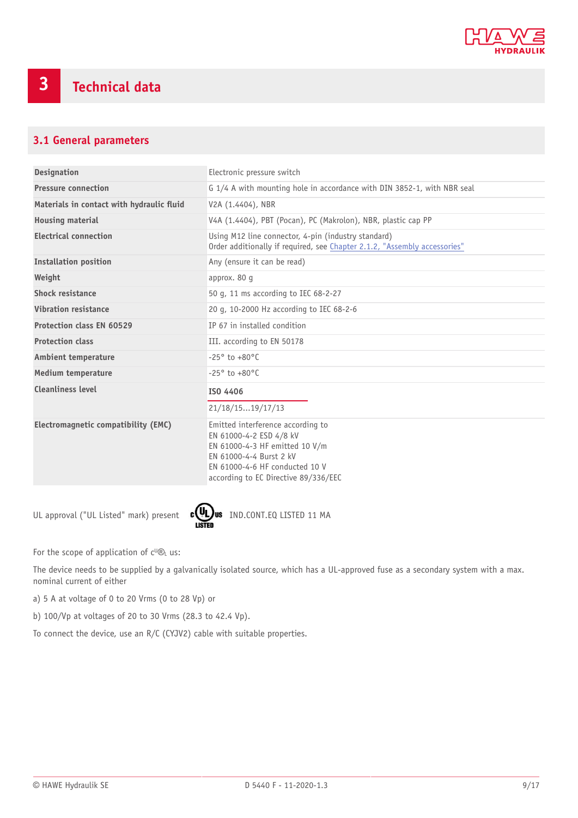

### <span id="page-8-1"></span><span id="page-8-0"></span>**3.1 General parameters**

| <b>Designation</b>                        | Electronic pressure switch                                                                                                                                                                          |
|-------------------------------------------|-----------------------------------------------------------------------------------------------------------------------------------------------------------------------------------------------------|
| <b>Pressure connection</b>                | G 1/4 A with mounting hole in accordance with DIN 3852-1, with NBR seal                                                                                                                             |
| Materials in contact with hydraulic fluid | V2A (1.4404), NBR                                                                                                                                                                                   |
| <b>Housing material</b>                   | V4A (1.4404), PBT (Pocan), PC (Makrolon), NBR, plastic cap PP                                                                                                                                       |
| <b>Electrical connection</b>              | Using M12 line connector, 4-pin (industry standard)<br>Order additionally if required, see Chapter 2.1.2, "Assembly accessories"                                                                    |
| <b>Installation position</b>              | Any (ensure it can be read)                                                                                                                                                                         |
| Weight                                    | approx. 80 g                                                                                                                                                                                        |
| <b>Shock resistance</b>                   | 50 q, 11 ms according to IEC 68-2-27                                                                                                                                                                |
| Vibration resistance                      | 20 g, 10-2000 Hz according to IEC 68-2-6                                                                                                                                                            |
| <b>Protection class EN 60529</b>          | IP 67 in installed condition                                                                                                                                                                        |
| <b>Protection class</b>                   | III. according to EN 50178                                                                                                                                                                          |
| <b>Ambient temperature</b>                | $-25^{\circ}$ to $+80^{\circ}$ C                                                                                                                                                                    |
| <b>Medium temperature</b>                 | $-25^{\circ}$ to $+80^{\circ}$ C                                                                                                                                                                    |
| <b>Cleanliness level</b>                  | ISO 4406                                                                                                                                                                                            |
|                                           | 21/18/1519/17/13                                                                                                                                                                                    |
| Electromagnetic compatibility (EMC)       | Emitted interference according to<br>EN 61000-4-2 ESD 4/8 kV<br>EN 61000-4-3 HF emitted 10 V/m<br>EN 61000-4-4 Burst 2 kV<br>EN 61000-4-6 HF conducted 10 V<br>according to EC Directive 89/336/EEC |

UL approval ("UL Listed" mark) present  $\frac{c}{\text{LSTED}}$ us IND.CONT.EQ LISTED 11 MA



For the scope of application of  $c^{U} \mathcal{B}_L$  us:

The device needs to be supplied by a galvanically isolated source, which has a UL-approved fuse as a secondary system with a max. nominal current of either

a) 5 A at voltage of 0 to 20 Vrms (0 to 28 Vp) or

b) 100/Vp at voltages of 20 to 30 Vrms (28.3 to 42.4 Vp).

To connect the device, use an R/C (CYJV2) cable with suitable properties.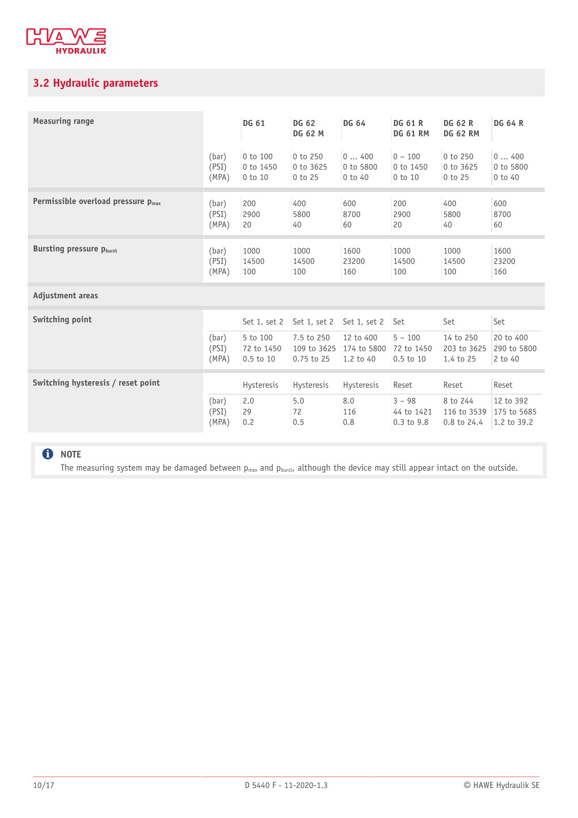

### <span id="page-9-0"></span>**3.2 Hydraulic parameters**

| <b>Measuring range</b>                  |       | DG 61        | DG 62<br><b>DG 62 M</b> | <b>DG 64</b> | <b>DG 61 R</b><br><b>DG 61 RM</b> | <b>DG 62 R</b><br><b>DG 62 RM</b> | <b>DG 64 R</b> |
|-----------------------------------------|-------|--------------|-------------------------|--------------|-----------------------------------|-----------------------------------|----------------|
|                                         | (bar) | 0 to 100     | 0 to 250                | 0400         | $0 - 100$                         | 0 to 250                          | 0400           |
|                                         | (PSI) | 0 to 1450    | 0 to 3625               | 0 to 5800    | 0 to 1450                         | 0 to 3625                         | 0 to 5800      |
|                                         | (MPA) | 0 to 10      | 0 to 25                 | $0$ to $40$  | 0 to 10                           | $0$ to $25$                       | $0$ to $40$    |
| Permissible overload pressure $p_{max}$ | (bar) | 200          | 400                     | 600          | 200                               | 400                               | 600            |
|                                         | (PSI) | 2900         | 5800                    | 8700         | 2900                              | 5800                              | 8700           |
|                                         | (MPA) | 20           | 40                      | 60           | 20                                | 40                                | 60             |
| <b>Bursting pressure Pburst</b>         | (bar) | 1000         | 1000                    | 1600         | 1000                              | 1000                              | 1600           |
|                                         | (PSI) | 14500        | 14500                   | 23200        | 14500                             | 14500                             | 23200          |
|                                         | (MPA) | 100          | 100                     | 160          | 100                               | 100                               | 160            |
| Adjustment areas                        |       |              |                         |              |                                   |                                   |                |
| Switching point                         |       | Set 1, set 2 | Set 1, set 2            | Set 1, set 2 | Set                               | Set                               | Set            |
|                                         | (bar) | 5 to 100     | 7.5 to 250              | 12 to 400    | $5 - 100$                         | 14 to 250                         | 20 to 400      |
|                                         | (PSI) | 72 to 1450   | 109 to 3625             | 174 to 5800  | 72 to 1450                        | 203 to 3625                       | 290 to 5800    |
|                                         | (MPA) | 0.5 to 10    | $0.75$ to 25            | 1.2 to 40    | $0.5$ to $10$                     | 1.4 to 25                         | 2 to 40        |
| Switching hysteresis / reset point      |       | Hysteresis   | Hysteresis              | Hysteresis   | Reset                             | Reset                             | Reset          |
|                                         | (bar) | 2.0          | 5.0                     | 8.0          | $3 - 98$                          | 8 to 244                          | 12 to 392      |
|                                         | (PSI) | 29           | 72                      | 116          | 44 to 1421                        | 116 to 3539                       | 175 to 5685    |
|                                         | (MPA) | 0.2          | 0.5                     | 0.8          | $0.3$ to $9.8$                    | 0.8 to 24.4                       | 1.2 to 39.2    |
|                                         |       |              |                         |              |                                   |                                   |                |

### **O** NOTE

The measuring system may be damaged between  $p_{max}$  and  $p_{burst}$  although the device may still appear intact on the outside.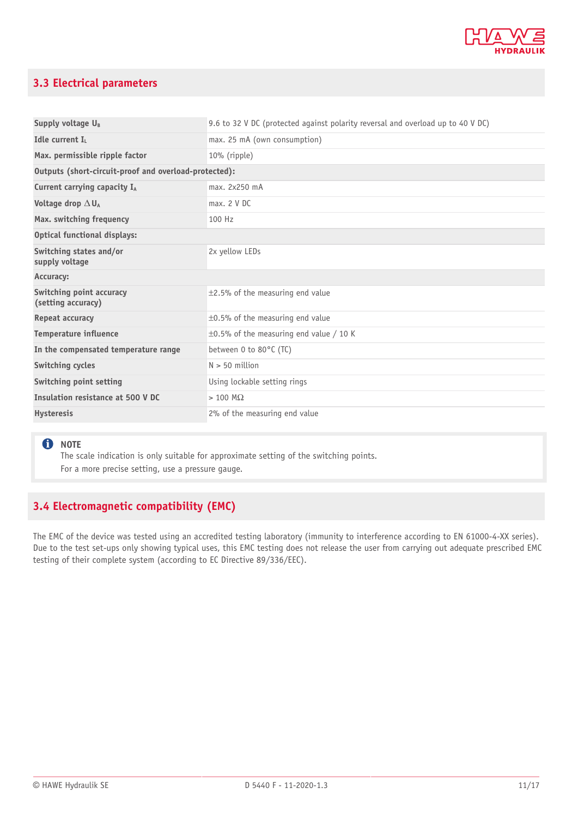

### <span id="page-10-0"></span>**3.3 Electrical parameters**

| Supply voltage U <sub>B</sub>                         | 9.6 to 32 V DC (protected against polarity reversal and overload up to 40 V DC) |  |  |  |
|-------------------------------------------------------|---------------------------------------------------------------------------------|--|--|--|
| Idle current I.                                       | max. 25 mA (own consumption)                                                    |  |  |  |
| Max. permissible ripple factor                        | 10% (ripple)                                                                    |  |  |  |
| Outputs (short-circuit-proof and overload-protected): |                                                                                 |  |  |  |
| Current carrying capacity IA                          | max. 2x250 mA                                                                   |  |  |  |
| Voltage drop $\Delta U_A$                             | max. 2 V DC                                                                     |  |  |  |
| Max. switching frequency                              | 100 Hz                                                                          |  |  |  |
| <b>Optical functional displays:</b>                   |                                                                                 |  |  |  |
| Switching states and/or<br>supply voltage             | 2x yellow LEDs                                                                  |  |  |  |
| Accuracy:                                             |                                                                                 |  |  |  |
| Switching point accuracy<br>(setting accuracy)        | $\pm$ 2.5% of the measuring end value                                           |  |  |  |
| Repeat accuracy                                       | $\pm$ 0.5% of the measuring end value                                           |  |  |  |
| <b>Temperature influence</b>                          | $\pm$ 0.5% of the measuring end value / 10 K                                    |  |  |  |
| In the compensated temperature range                  | between 0 to 80°C (TC)                                                          |  |  |  |
| Switching cycles                                      | $N > 50$ million                                                                |  |  |  |
| Switching point setting                               | Using lockable setting rings                                                    |  |  |  |
| Insulation resistance at 500 V DC                     | $> 100 \text{ M}\Omega$                                                         |  |  |  |
| <b>Hysteresis</b>                                     | 2% of the measuring end value                                                   |  |  |  |

### **f** NOTE

The scale indication is only suitable for approximate setting of the switching points. For a more precise setting, use a pressure gauge.

### <span id="page-10-1"></span>**3.4 Electromagnetic compatibility (EMC)**

The EMC of the device was tested using an accredited testing laboratory (immunity to interference according to EN 61000-4-XX series). Due to the test set-ups only showing typical uses, this EMC testing does not release the user from carrying out adequate prescribed EMC testing of their complete system (according to EC Directive 89/336/EEC).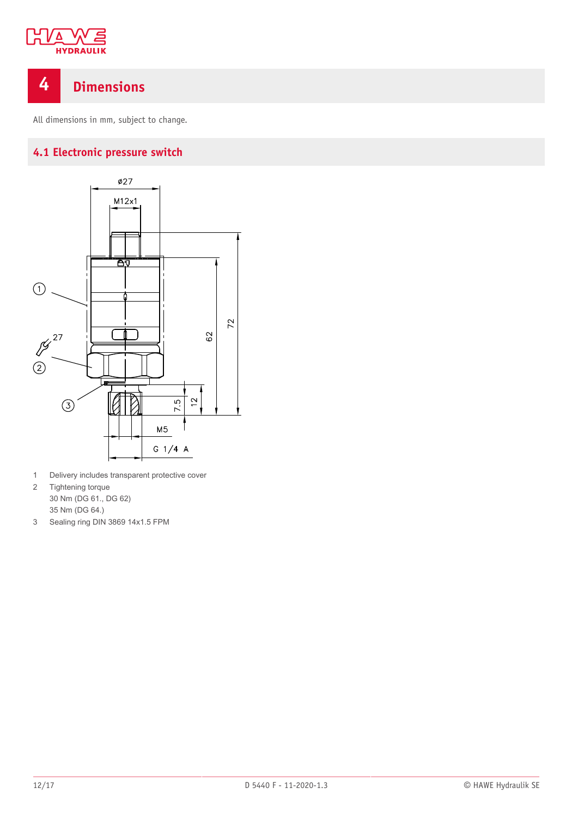

### <span id="page-11-0"></span>**4 Dimensions**

<span id="page-11-1"></span>All dimensions in mm, subject to change.

### **4.1 Electronic pressure switch**



- 1 Delivery includes transparent protective cover
- 2 Tightening torque 30 Nm (DG 61., DG 62) 35 Nm (DG 64.)
- 3 Sealing ring DIN 3869 14x1.5 FPM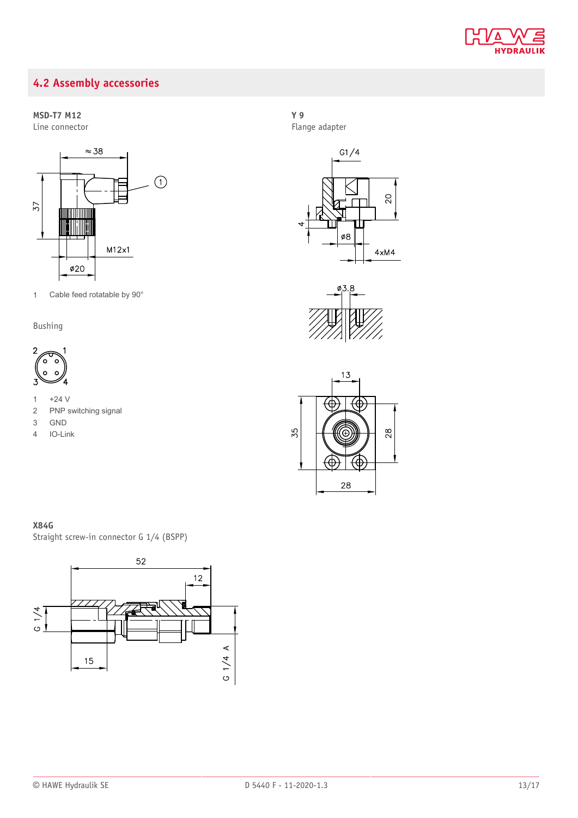

### <span id="page-12-0"></span>**4.2 Assembly accessories**

### **MSD-T7 M12**

Line connector



1 Cable feed rotatable by 90°

### Bushing



- 1  $+24$  V
- 2 PNP switching signal
- 3 GND
- 4 IO-Link

### **Y 9**

Flange adapter







### **X84G**

Straight screw-in connector G 1/4 (BSPP)

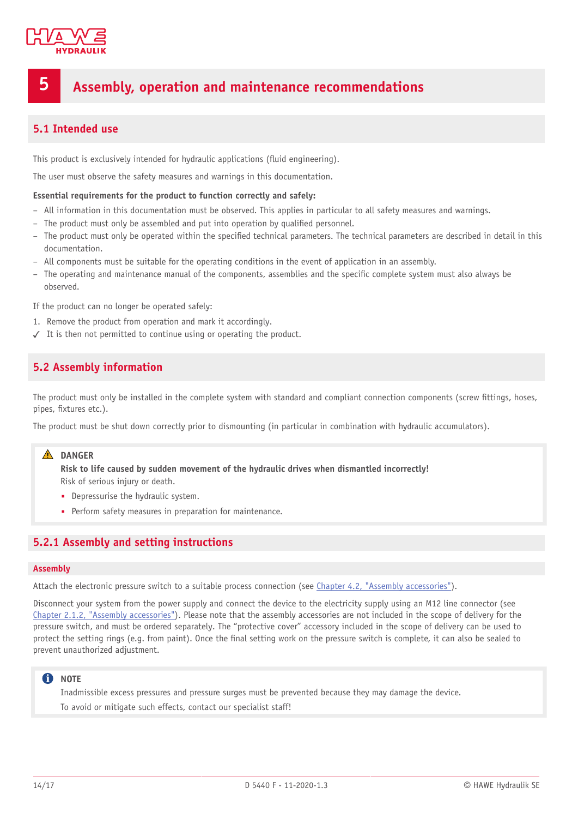

### <span id="page-13-0"></span>**5 Assembly, operation and maintenance recommendations**

### <span id="page-13-1"></span>**5.1 Intended use**

This product is exclusively intended for hydraulic applications (fluid engineering).

The user must observe the safety measures and warnings in this documentation.

#### **Essential requirements for the product to function correctly and safely:**

- All information in this documentation must be observed. This applies in particular to all safety measures and warnings.
- The product must only be assembled and put into operation by qualified personnel.
- The product must only be operated within the specified technical parameters. The technical parameters are described in detail in this documentation.
- All components must be suitable for the operating conditions in the event of application in an assembly.
- $-$  The operating and maintenance manual of the components, assemblies and the specific complete system must also always be observed.

If the product can no longer be operated safely:

- 1. Remove the product from operation and mark it accordingly.
- <span id="page-13-2"></span>✓ It is then not permitted to continue using or operating the product.

### **5.2 Assembly information**

The product must only be installed in the complete system with standard and compliant connection components (screw fittings, hoses, pipes, fixtures etc.).

The product must be shut down correctly prior to dismounting (in particular in combination with hydraulic accumulators).

#### A DANGER

**Risk to life caused by sudden movement of the hydraulic drives when dismantled incorrectly!** Risk of serious injury or death.

- Depressurise the hydraulic system.
- Perform safety measures in preparation for maintenance.

### <span id="page-13-3"></span>**5.2.1 Assembly and setting instructions**

#### **Assembly**

Attach the electronic pressure switch to a suitable process connection (see [Chapter 4.2,](#page-12-0) "Assembly accessories").

Disconnect your system from the power supply and connect the device to the electricity supply using an M12 line connector (see [Chapter 2.1.2,](#page-7-1) "Assembly accessories"). Please note that the assembly accessories are not included in the scope of delivery for the pressure switch, and must be ordered separately. The "protective cover" accessory included in the scope of delivery can be used to protect the setting rings (e.g. from paint). Once the final setting work on the pressure switch is complete, it can also be sealed to prevent unauthorized adjustment.

### **C** NOTE

Inadmissible excess pressures and pressure surges must be prevented because they may damage the device.

To avoid or mitigate such effects, contact our specialist staff!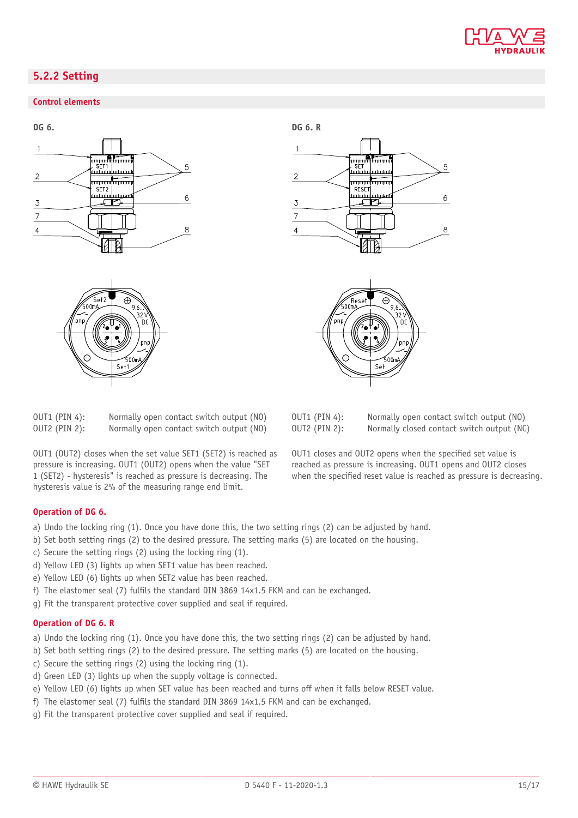

### <span id="page-14-0"></span>**5.2.2 Setting**

### **Control elements**





OUT1 (PIN 4): OUT2 (PIN 2): Normally open contact switch output (NO) Normally open contact switch output (NO)

OUT1 (OUT2) closes when the set value SET1 (SET2) is reached as pressure is increasing. OUT1 (OUT2) opens when the value "SET 1 (SET2) - hysteresis" is reached as pressure is decreasing. The hysteresis value is 2% of the measuring range end limit.





| OUT1 (PIN 4): | Normally open contact switch output (NO)   |
|---------------|--------------------------------------------|
| OUT2 (PIN 2): | Normally closed contact switch output (NC) |

OUT1 closes and OUT2 opens when the specified set value is reached as pressure is increasing. OUT1 opens and OUT2 closes when the specified reset value is reached as pressure is decreasing.

#### **Operation of DG 6.**

- a) Undo the locking ring (1). Once you have done this, the two setting rings (2) can be adjusted by hand.
- b) Set both setting rings (2) to the desired pressure. The setting marks (5) are located on the housing.
- c) Secure the setting rings (2) using the locking ring (1).
- d) Yellow LED (3) lights up when SET1 value has been reached.
- e) Yellow LED (6) lights up when SET2 value has been reached.
- f) The elastomer seal (7) fulfils the standard DIN 3869 14x1.5 FKM and can be exchanged.
- g) Fit the transparent protective cover supplied and seal if required.

### **Operation of DG 6. R**

a) Undo the locking ring (1). Once you have done this, the two setting rings (2) can be adjusted by hand.

- b) Set both setting rings (2) to the desired pressure. The setting marks (5) are located on the housing.
- c) Secure the setting rings (2) using the locking ring (1).
- d) Green LED (3) lights up when the supply voltage is connected.
- e) Yellow LED (6) lights up when SET value has been reached and turns off when it falls below RESET value.
- f) The elastomer seal (7) fulfils the standard DIN 3869 14x1.5 FKM and can be exchanged.
- g) Fit the transparent protective cover supplied and seal if required.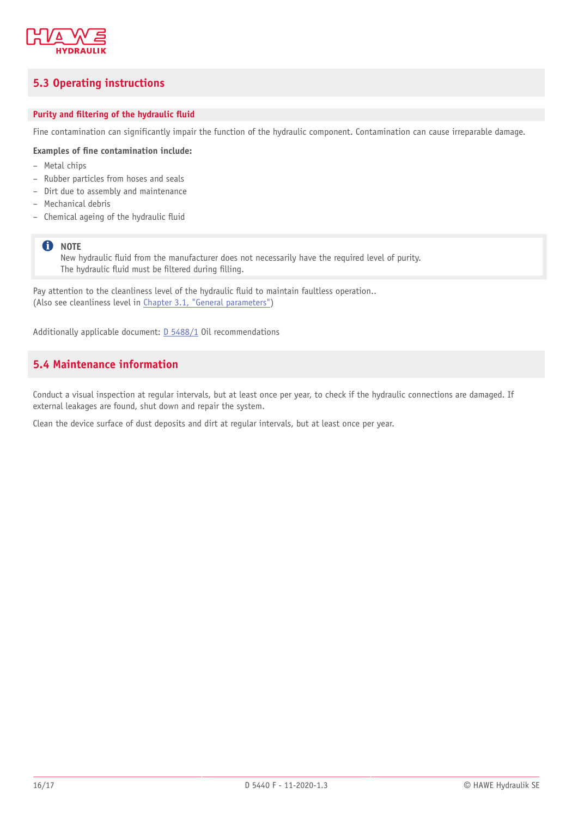

### <span id="page-15-0"></span>**5.3 Operating instructions**

### **Purity** and **filtering** of the hydraulic fluid

Fine contamination can significantly impair the function of the hydraulic component. Contamination can cause irreparable damage.

#### **Examples of 'ne contamination include:**

- Metal chips
- Rubber particles from hoses and seals
- Dirt due to assembly and maintenance
- Mechanical debris
- Chemical ageing of the hydraulic fluid

### **f** NOTE

New hydraulic fluid from the manufacturer does not necessarily have the required level of purity. The hydraulic fluid must be filtered during filling.

Pay attention to the cleanliness level of the hydraulic fluid to maintain faultless operation.. (Also see cleanliness level in [Chapter 3.1,](#page-8-1) "General parameters")

<span id="page-15-1"></span>Additionally applicable document: [D 5488/1](http://downloads.hawe.com/5/4/D54881-en.pdf) Oil recommendations

### **5.4 Maintenance information**

Conduct a visual inspection at regular intervals, but at least once per year, to check if the hydraulic connections are damaged. If external leakages are found, shut down and repair the system.

Clean the device surface of dust deposits and dirt at regular intervals, but at least once per year.